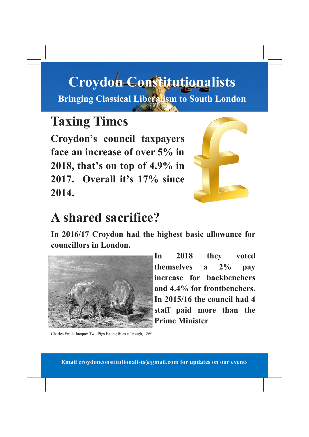## **Croydon Constitutionalists Bringing Classical Liberalism to South London**

#### **Taxing Times**

**Croydon's council taxpayers face an increase of over 5% in 2018, that's on top of 4.9% in 2017. Overall it's 17% since 2014.**



## **A shared sacrifice?**

**In 2016/17 Croydon had the highest basic allowance for councillors in London.**



**In 2018 they voted themselves a 2% pay increase for backbenchers and 4.4% for frontbenchers. In 2015/16 the council had 4 staff paid more than the Prime Minister**

Charles Émile Jacque: Two Pigs Eating from a Trough, 1860

**Email croydonconstitutionalists@gmail.com for updates on our events**